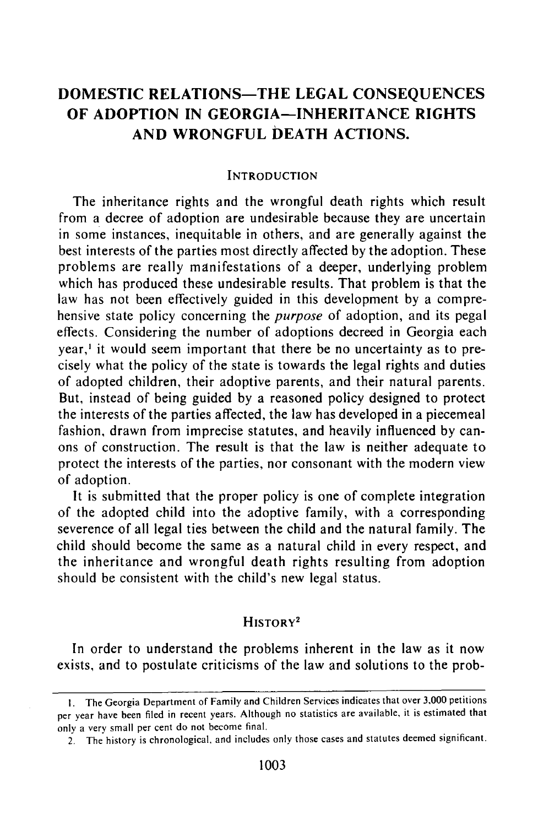# **DOMESTIC RELATIONS-THE LEGAL CONSEQUENCES OF ADOPTION IN GEORGIA-INHERITANCE RIGHTS AND WRONGFUL DEATH ACTIONS.**

#### **INTRODUCTION**

The inheritance rights and the wrongful death rights which result from a decree of adoption are undesirable because they are uncertain in some instances, inequitable in others, and are generally against the best interests of the parties most directly affected by the adoption. These problems are really manifestations of a deeper, underlying problem which has produced these undesirable results. That problem is that the law has not been effectively guided in this development by a comprehensive state policy concerning the *purpose* of adoption, and its pegal effects. Considering the number of adoptions decreed in Georgia each year,' it would seem important that there be no uncertainty as to precisely what the policy of the state is towards the legal rights and duties of adopted children, their adoptive parents, and their natural parents. But, instead of being guided by a reasoned policy designed to protect the interests of the parties affected, the law has developed in a piecemeal fashion, drawn from imprecise statutes, and heavily influenced by canons of construction. The result is that the law is neither adequate to protect the interests of the parties, nor consonant with the modern view of adoption.

It is submitted that the proper policy is one of complete integration of the adopted child into the adoptive family, with a corresponding severence of all legal ties between the child and the natural family. The child should become the same as a natural child in every respect, and the inheritance and wrongful death rights resulting from adoption should be consistent with the child's new legal status.

# HISTORY<sup>2</sup>

In order to understand the problems inherent in the law as it now exists, and to postulate criticisms of the law and solutions to the prob-

I. The Georgia Department of Family and Children Services indicates that over 3,000 petitions per year have been filed in recent years. Although no statistics are available, it is estimated that only a very small per cent do not become final.

<sup>2.</sup> The history is chronological, and includes only those cases and statutes deemed significant.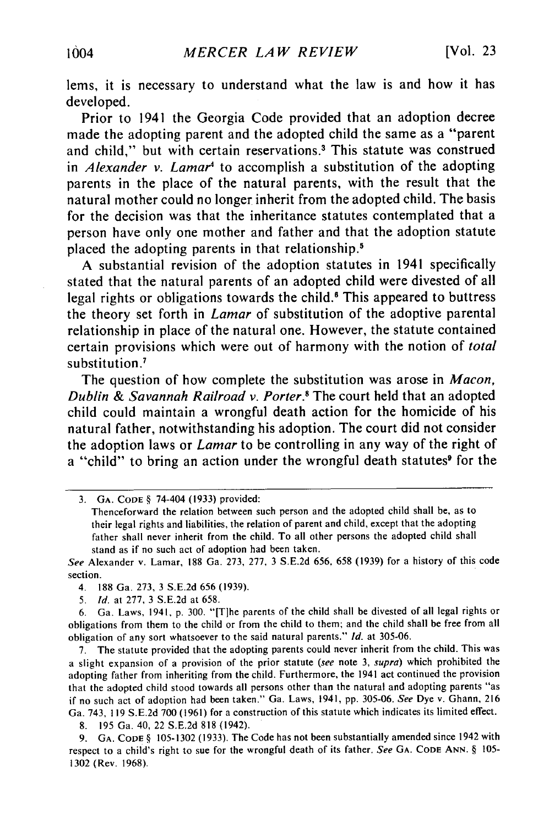lems, it is necessary to understand what the law is and how it has developed.

Prior to 1941 the Georgia Code provided that an adoption decree made the adopting parent and the adopted child the same as a "parent and child," but with certain reservations.<sup>3</sup> This statute was construed in *Alexander v. Lamar<sup>4</sup>* to accomplish a substitution of the adopting parents in the place of the natural parents, with the result that the natural mother could no longer inherit from the adopted child. The basis for the decision was that the inheritance statutes contemplated that a person have only one mother and father and that the adoption statute placed the adopting parents in that relationship.<sup>5</sup>

**A** substantial revision of the adoption statutes in 1941 specifically stated that the natural parents of an adopted child were divested of all legal rights or obligations towards the child.<sup>6</sup> This appeared to buttress the theory set forth in *Lamar* of substitution of the adoptive parental relationship in place of the natural one. However, the statute contained certain provisions which were out of harmony with the notion of *total* substitution **.'**

The question of how complete the substitution was arose in *Macon, Dublin & Savannah Railroad v. Porter.8* The court held that an adopted child could maintain a wrongful death action for the homicide of his natural father, notwithstanding his adoption. The court did not consider the adoption laws or *Lamar* to be controlling in any way of the right of a "child" to bring an action under the wrongful death statutes<sup>9</sup> for the

*See* Alexander v. Lamar, **188** Ga. **273, 277, 3 S.E.2d 656, 658 (1939)** for a history of this code section.

**5.** *Id.* at **277, 3 S.E.2d** at **658.**

**6.** Ga. Laws, 1941, **p. 300.** "[Tlhe parents of the child shall be divested of all legal rights or obligations from them to the child or from the child to them; and the child shall be free from all obligation of any sort whatsoever to the said natural parents." *Id.* at **305-06.**

**7.** The statute provided that the adopting parents could never inherit from the child. This was a slight expansion of a provision of the prior statute (see note **3,** supra) which prohibited the adopting father from inheriting from the child. Furthermore, the 1941 act continued the provision that the adopted child stood towards all persons other than the natural and adopting parents "as if no such act of adoption had been taken." Ga. Laws, 1941, **pp. 305-06.** See Dye v. Ghann, **<sup>216</sup>** Ga. 743, **119 S.E.2d 700 (1961)** for a construction of this statute which indicates its limited effect.

**8. 195** Ga. 40, 22 **S.E.2d 818** (1942).

**9. GA. CODE § 105-1302 (1933).** The Code has not been substantially amended since 1942 with respect to a child's right to sue for the wrongful death of its father. See **GA. CODE ANN. § 105- 1302** (Rev. **1968).**

**<sup>3.</sup> GA. CODE §** 74-404 **(1933)** provided:

Thenceforward the relation between such person and the adopted child shall be, as to their legal rights and liabilities, the relation of parent and child, except that the adopting father shall never inherit from the child. To all other persons the adopted child shall stand as if no such act of adoption had been taken.

<sup>4.</sup> **188** Ga. **273, 3 S.E.2d 656 (1939).**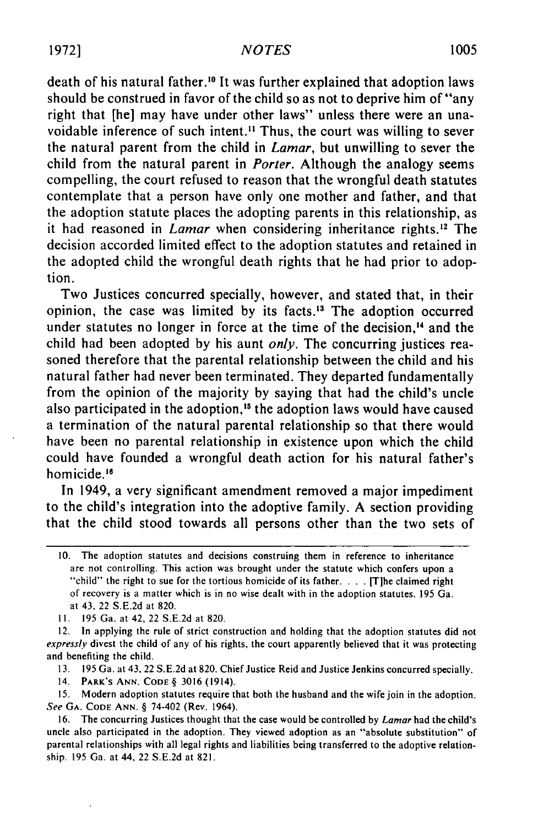death of his natural father.<sup>10</sup> It was further explained that adoption laws should be construed in favor of the child so as not to deprive him of "any right that [he] may have under other laws" unless there were an unavoidable inference of such intent.<sup>11</sup> Thus, the court was willing to sever the natural parent from the child in *Lamar,* but unwilling to sever the child from the natural parent in *Porter.* Although the analogy seems compelling, the court refused to reason that the wrongful death statutes contemplate that a person have only one mother and father, and that the adoption statute places the adopting parents in this relationship, as it had reasoned in *Lamar* when considering inheritance rights.<sup>12</sup> The decision accorded limited effect to the adoption statutes and retained in the adopted child the wrongful death rights that he had prior to adoption.

Two Justices concurred specially, however, and stated that, in their opinion, the case was limited by its facts.<sup>13</sup> The adoption occurred under statutes no longer in force at the time of the decision,<sup>14</sup> and the child had been adopted by his aunt *only.* The concurring justices reasoned therefore that the parental relationship between the child and his natural father had never been terminated. They departed fundamentally from the opinion of the majority by saying that had the child's uncle also participated in the adoption,'5 the adoption laws would have caused a termination of the natural parental relationship so that there would have been no parental relationship in existence upon which the child could have founded a wrongful death action for his natural father's homicide.<sup>16</sup>

In 1949, a very significant amendment removed a major impediment to the child's integration into the adoptive family. A section providing that the child stood towards all persons other than the two sets of

<sup>10.</sup> The adoption statutes and decisions construing them in reference to inheritance are not controlling. This action was brought under the statute which confers upon a "child" the right to sue for the tortious homicide of its father **....** [Tihe claimed right of recovery is a matter which is in no wise dealt with in the adoption statutes. 195 Ga. at 43, 22 S.E.2d at 820.

II. 195 Ga. at 42, 22 S.E.2d at 820.

<sup>12.</sup> In applying the rule of strict construction and holding that the adoption statutes did not expressly divest the child of any of his rights, the court apparently believed that it was protecting and benefiting the child.

<sup>13. 195</sup> Ga. at **43,** 22 S.E.2d at 820. Chief Justice Reid and Justice Jenkins concurred specially.

<sup>14.</sup> PARK'S **ANN. CODE** § 3016 (1914).

**<sup>15.</sup>** Modern adoption statutes require that both the husband and the wife join in the adoption. See **GA. CODE ANN.** § 74-402 (Rev. 1964).

<sup>16.</sup> The concurring Justices thought that the case would be controlled by Lamar had the child's uncle also participated in the adoption. They viewed adoption as an "absolute substitution" of parental relationships with all legal rights and liabilities being transferred to the adoptive relationship. 195 Ga. at 44, 22 S.E.2d at 821.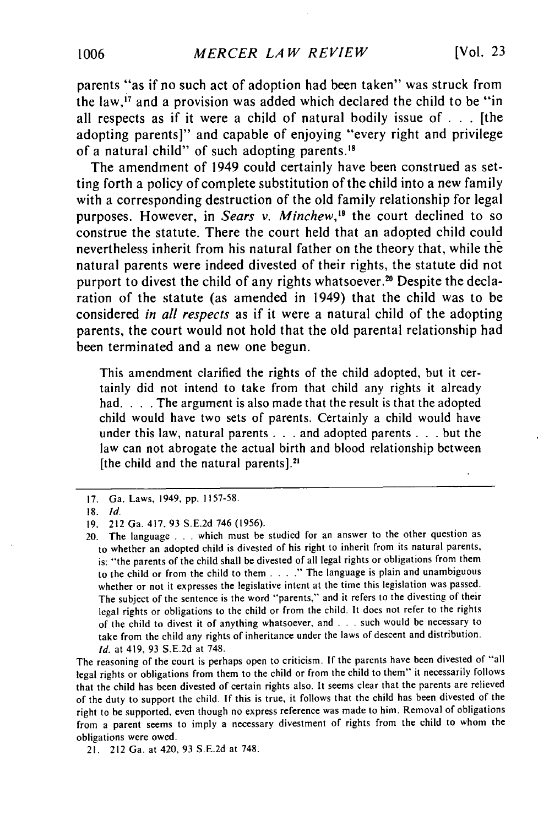parents "as if no such act of adoption had been taken" was struck from the law, $i$  and a provision was added which declared the child to be "in all respects as if it were a child of natural bodily issue of **. . .** [the adopting parents]" and capable of enjoying "every right and privilege of a natural child" of such adopting parents.'

The amendment of 1949 could certainly have been construed as setting forth a policy of complete substitution of the child into a new family with a corresponding destruction of the old family relationship for legal purposes. However, in *Sears v. Minchew*,<sup>19</sup> the court declined to so construe the statute. There the court held that an adopted child could nevertheless inherit from his natural father on the theory that, while the natural parents were indeed divested of their rights, the statute did not purport to divest the child of any rights whatsoever.<sup>20</sup> Despite the declaration of the statute (as amended in 1949) that the child was to be considered *in* all respects as if it were a natural child of the adopting parents, the court would not hold that the old parental relationship had been terminated and a new one begun.

This amendment clarified the rights of the child adopted, but it certainly did not intend to take from that child any rights it already had. **. . .** The argument is also made that the result is that the adopted child would have two sets of parents. Certainly a child would have under this law, natural parents **. . .** and adopted parents **. . .** but the law can not abrogate the actual birth and blood relationship between [the child and the natural parents].<sup>21</sup>

The reasoning of the court is perhaps open to criticism. If the parents have been divested of "all legal rights or obligations from them to the child or from the child to them" it necessarily follows that the child has been divested of certain rights also. It seems clear that the parents are relieved of the duty to support the child. If this is true, it follows that the child has been divested of the right to be supported, even though no express reference was made to him. Removal of obligations from a parent seems to imply a necessary divestment of rights from the child to whom the obligations were owed.

21. 212 Ga. at 420, 93 S.E.2d at 748.

<sup>17.</sup> Ga. Laws, 1949, pp. 1157-58.

<sup>18.</sup> *Id.*

**<sup>19.</sup>** 212 Ga. 417, 93 S.E.2d 746 (1956).

<sup>20.</sup> The language . . . which must be studied for an answer to the other question as to whether an adopted child is divested of his right to inherit from its natural parents, is: "the parents of the child shall be divested of all legal rights or obligations from them to the child or from the child to them **.... "** The language is plain and unambiguous whether or not it expresses the legislative intent at the time this legislation was passed. The subject of the sentence is the word "parents," and it refers to the divesting of their legal rights or obligations to the child or from the child. It does not refer to the rights of the child to divest it of anything whatsoever, and . . . such would be necessary to take from the child any rights of inheritance under the laws of descent and distribution. *Id.* at 419, 93 S.E.2d at 748.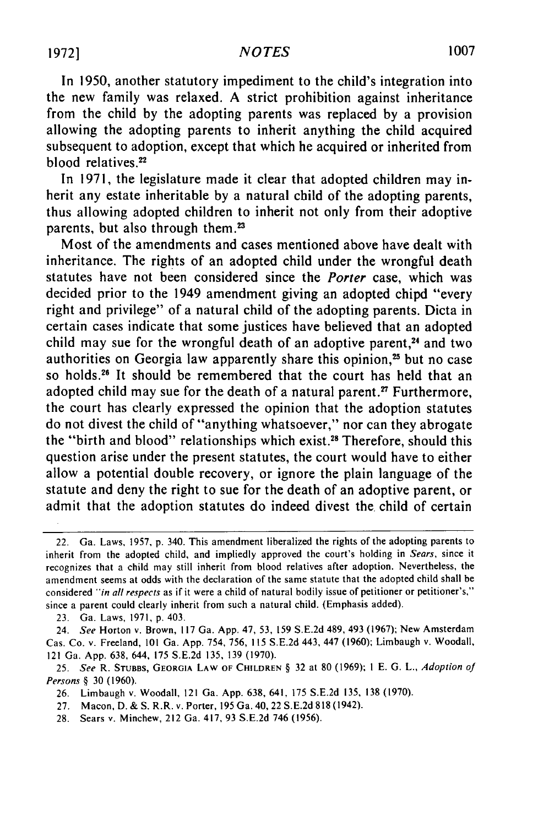# **1007 19721** *NOTES*

In 1950, another statutory impediment to the child's integration into the new family was relaxed. A strict prohibition against inheritance from the child by the adopting parents was replaced by a provision allowing the adopting parents to inherit anything the child acquired subsequent to adoption, except that which he acquired or inherited from blood relatives.<sup>22</sup>

In 1971, the legislature made it clear that adopted children may inherit any estate inheritable by a natural child of the adopting parents, thus allowing adopted children to inherit not only from their adoptive parents, but also through them.<sup>23</sup>

Most of the amendments and cases mentioned above have dealt with inheritance. The rights of an adopted child under the wrongful death statutes have not been considered since the *Porter* case, which was decided prior to the 1949 amendment giving an adopted chipd "every right and privilege" of a natural child of the adopting parents. Dicta in certain cases indicate that some justices have believed that an adopted child may sue for the wrongful death of an adoptive parent, $24$  and two authorities on Georgia law apparently share this opinion,<sup>25</sup> but no case so holds.<sup>26</sup> It should be remembered that the court has held that an adopted child may sue for the death of a natural parent.<sup>27</sup> Furthermore, the court has clearly expressed the opinion that the adoption statutes do not divest the child of "anything whatsoever," nor can they abrogate the "birth and blood" relationships which exist.<sup>28</sup> Therefore, should this question arise under the present statutes, the court would have to either allow a potential double recovery, or ignore the plain language of the statute and deny the right to sue for the death of an adoptive parent, or admit that the adoption statutes do indeed divest the. child of certain

23. Ga. Laws, 1971, p. 403.

- 26. Limbaugh v. Woodall, 121 Ga. App. 638, 641, **175** S.E.2d **135, 138** (1970).
- **27.** Macon, **D.** & S. R.R. v. Porter, 195 Ga. 40,22 S.E.2d 818 (1942).
- 28. Sears v. Minchew, 212 Ga. 417, 93 S.E.2d 746 (1956).

<sup>22.</sup> Ga. Laws, 1957, p. 340. This amendment liberalized the rights of the adopting parents to inherit from the adopted child, and impliedly approved the court's holding in Sears, since it recognizes that a child may still inherit from blood relatives after adoption. Nevertheless, the amendment seems at odds with the declaration of the same statute that the adopted child shall be considered *"in* all *respects* as if it were a child of natural bodily issue of petitioner or petitioner's," since a parent could clearly inherit from such a natural child. (Emphasis added).

<sup>24.</sup> *See* Horton v. Brown, 117 Ga. App. 47, 53, 159 S.E.2d 489, 493 (1967); New Amsterdam Cas. Co. v. Freeland, 101 Ga. App. 754, 756, 115 S.E.2d 443, 447 (1960); Limbaugh v. Woodall, 121 Ga. App. 638, 644, 175 S.E.2d 135, **139** (1970).

<sup>25.</sup> See R. STUBBS, **GEORGIA** LAW OF **CHILDREN** § **32** at **80** (1969); I E. G. L., Adoption *of* Persons *§* 30 (1960).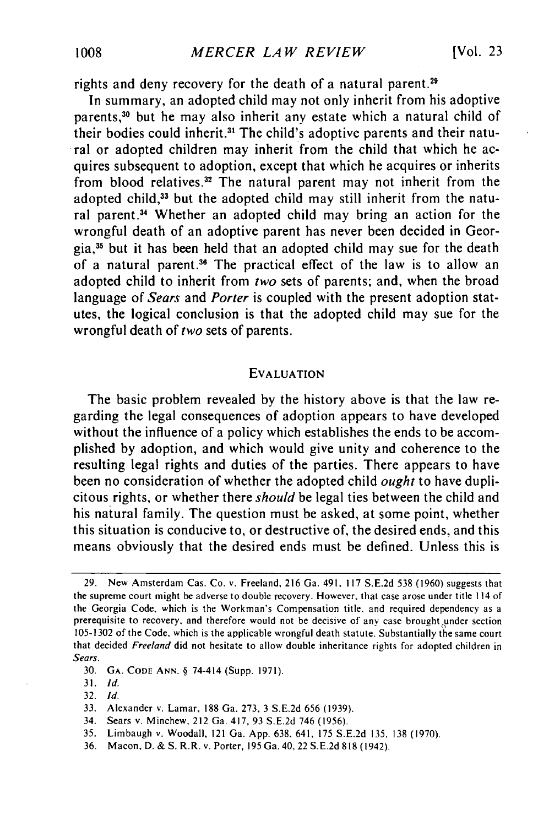rights and deny recovery for the death of a natural parent.<sup>29</sup>

In summary, an adopted child may not only inherit from his adoptive parents,<sup>30</sup> but he may also inherit any estate which a natural child of their bodies could inherit.<sup>31</sup> The child's adoptive parents and their natural or adopted children may inherit from the child that which he acquires subsequent to adoption, except that which he acquires or inherits from blood relatives.<sup>32</sup> The natural parent may not inherit from the adopted child,<sup>33</sup> but the adopted child may still inherit from the natural parent.<sup>34</sup> Whether an adopted child may bring an action for the wrongful death of an adoptive parent has never been decided in Georgia,35 but it has been held that an adopted child may sue for the death of a natural parent.<sup>36</sup> The practical effect of the law is to allow an adopted child to inherit from *two* sets of parents; and, when the broad language of *Sears* and *Porter* is coupled with the present adoption statutes, the logical conclusion is that the adopted child may sue for the wrongful death of *two* sets of parents.

#### EVALUATION

The basic problem revealed by the history above is that the law regarding the legal consequences of adoption appears to have developed without the influence of a policy which establishes the ends to be accomplished by adoption, and which would give unity and coherence to the resulting legal rights and duties of the parties. There appears to have been no consideration of whether the adopted child *ought* to have duplicitous rights, or whether there *should* be legal ties between the child and his natural family. The question must be asked, at some point, whether this situation is conducive to, or destructive of, the desired ends, and this means obviously that the desired ends must be defined. Unless this is

- 34. Sears v. Minchew, 212 Ga. 417, 93 S.E.2d 746 (1956).
- 35. Limbaugh v. Woodall, 121 Ga. App. 638, 641, 175 S.E.2d 135, 138 (1970).
- 36. Macon, D. **&** S. R.R. v. Porter, 195 Ga. 40, 22 S.E.2d 818 (1942).

<sup>29.</sup> New Amsterdam Cas. Co. v. Freeland, 216 Ga. 491, 117 S.E.2d 538 (1960) suggests that the supreme court might be adverse to double recovery. However, that case arose under title 114 of the Georgia Code, which is the Workman's Compensation title, and required dependency as a prerequisite to recovery, and therefore would not be decisive of any case brought under section 105-1302 of the Code, which is the applicable wrongful death statute. Substantially the same court that decided *Freeland* did not hesitate to allow double inheritance rights for adopted children in *Sears.*

<sup>30.</sup> **GA. CODE ANN.** § 74-414 (Supp. 1971).

**<sup>31.</sup>** *Id.*

<sup>32.</sup> *Id.*

<sup>33.</sup> Alexander v. Lamar, 188 Ga. 273, 3 S.E.2d 656 (1939).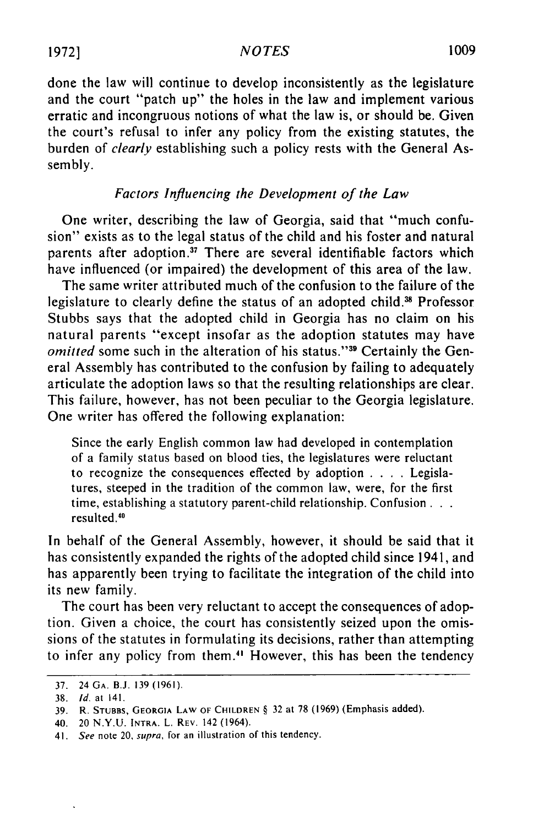done the law will continue to develop inconsistently as the legislature and the court "patch up" the holes in the law and implement various erratic and incongruous notions of what the law is, or should be. Given the court's refusal to infer any policy from the existing statutes, the burden of *clearly* establishing such a policy rests with the General Assembly.

# *Factors Influencing the Development of the Law*

One writer, describing the law of Georgia, said that "much confusion" exists as to the legal status of the child and his foster and natural parents after adoption.<sup>37</sup> There are several identifiable factors which have influenced (or impaired) the development of this area of the law.

The same writer attributed much of the confusion to the failure of the legislature to clearly define the status of an adopted child.<sup>38</sup> Professor Stubbs says that the adopted child in Georgia has no claim on his natural parents "except insofar as the adoption statutes may have *omitted* some such in the alteration of his status."<sup>39</sup> Certainly the General Assembly has contributed to the confusion by failing to adequately articulate the adoption laws so that the resulting relationships are clear. This failure, however, has not been peculiar to the Georgia legislature. One writer has offered the following explanation:

Since the early English common law had developed in contemplation of a family status based on blood ties, the legislatures were reluctant to recognize the consequences effected by adoption .**. .** .Legislatures, steeped in the tradition of the common law, were, for the first time, establishing a statutory parent-child relationship. Confusion... resulted."

In behalf of the General Assembly, however, it should be said that it has consistently expanded the rights of the adopted child since 1941, and has apparently been trying to facilitate the integration of the child into its new family.

The court has been very reluctant to accept the consequences of adoption. Given a choice, the court has consistently seized upon the omissions of the statutes in formulating its decisions, rather than attempting to infer any policy from them." However, this has been the tendency

**<sup>37.</sup>** 24 **GA. B.J. 139 (1961).**

**<sup>38.</sup> Id. at 141.**

**<sup>39.</sup>** R. **STUBBS, GEORGIA LAW OF** CHILDREN § **32** at **78 (1969)** (Emphasis added).

<sup>40. 20</sup> **N.Y.U. INTRA.** L. **REV.** 142 (1964).

<sup>41.</sup> See note 20, supra, for an illustration of this tendency.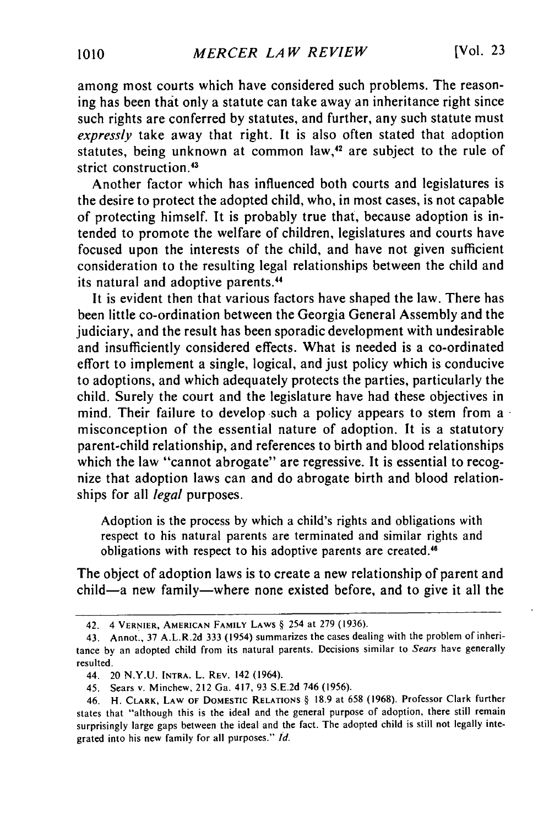among most courts which have considered such problems. The reasoning has been that only a statute can take away an inheritance right since such rights are conferred by statutes, and further, any such statute must *expressly* take away that right. It is also often stated that adoption statutes, being unknown at common law,<sup>42</sup> are subject to the rule of strict construction.<sup>43</sup>

Another factor which has influenced both courts and legislatures is the desire to protect the adopted child, who, in most cases, is not capable of protecting himself. It is probably true that, because adoption is intended to promote the welfare of children, legislatures and courts have focused upon the interests of the child, and have not given sufficient consideration to the resulting legal relationships between the child and its natural and adoptive parents.<sup>44</sup>

It is evident then that various factors have shaped the law. There has been little co-ordination between the Georgia General Assembly and the judiciary, and the result has been sporadic development with undesirable and insufficiently considered effects. What is needed is a co-ordinated effort to implement a single, logical, and just policy which is conducive to adoptions, and which adequately protects the parties, particularly the child. Surely the court and the legislature have had these objectives in mind. Their failure to develop such a policy appears to stem from a misconception of the essential nature of adoption. It is a statutory parent-child relationship, and references to birth and blood relationships which the law "cannot abrogate" are regressive. It is essential to recognize that adoption laws can and do abrogate birth and blood relationships for all *legal* purposes.

Adoption is the process by which a child's rights and obligations with respect to his natural parents are terminated and similar rights and obligations with respect to his adoptive parents are created."

The object of adoption laws is to create a new relationship of parent and child-a new family-where none existed before, and to give it all the

<sup>42. 4</sup> **VERNIER, AMERICAN** FAMILY LAWS § 254 at 279 (1936).

<sup>43.</sup> Annot., **37** A.L.R.2d **333** (1954) summarizes the cases dealing with the problem of inheritance **by** an adopted child from its natural parents. Decisions similar to *Sears* have generally resulted.

<sup>44. 20</sup> N.Y.U. INTRA. L. REV. 142 (1964).

<sup>45.</sup> Sears *v.* Minchew, 212 Ga. 417, 93 S.E.2d 746 (1956).

<sup>46.</sup> H. CLARK, LAW **OF** DOMESTIC **RELATIONS** § 18.9 at 658 (1968). Professor Clark further states that "although this is the ideal and the general purpose of adoption, there still remain surprisingly large gaps between the ideal and the fact. The adopted child is still not legally integrated into his new family for all purposes." *Id.*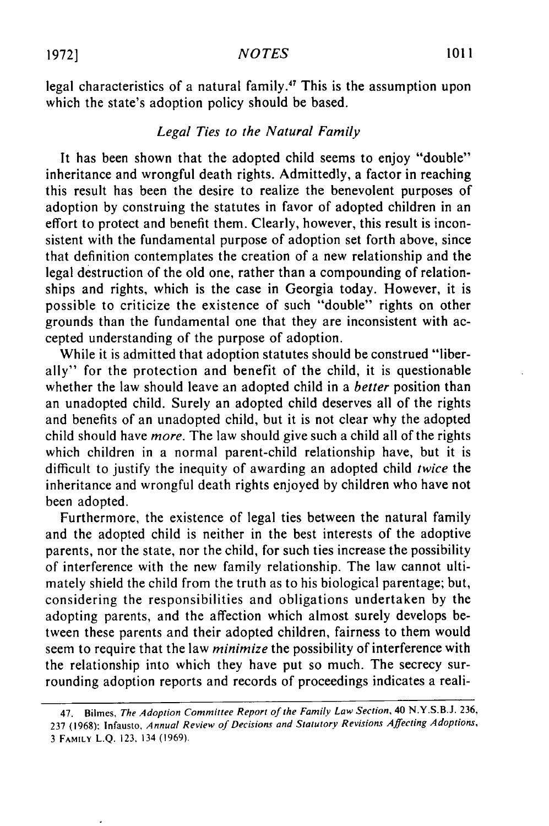**1972**] **1972 101** 

legal characteristics of a natural family.<sup>47</sup> This is the assumption upon which the state's adoption policy should be based.

# *Legal Ties to the Natural Family*

It has been shown that the adopted child seems to enjoy "double" inheritance and wrongful death rights. Admittedly, a factor in reaching this result has been the desire to realize the benevolent purposes of adoption by construing the statutes in favor of adopted children in an effort to protect and benefit them. Clearly, however, this result is inconsistent with the fundamental purpose of adoption set forth above, since that definition contemplates the creation of a new relationship and the legal destruction of the old one, rather than a compounding of relationships and rights, which is the case in Georgia today. However, it is possible to criticize the existence of such "double" rights on other grounds than the fundamental one that they are inconsistent with accepted understanding of the purpose of adoption.

While it is admitted that adoption statutes should be construed "liberally" for the protection and benefit of the child, it is questionable whether the law should leave an adopted child in a *better* position than an unadopted child. Surely an adopted child deserves all of the rights and benefits of an unadopted child, but it is not clear why the adopted child should have *more.* The law should give such a child all of the rights which children in a normal parent-child relationship have, but it is difficult to justify the inequity of awarding an adopted child *twice* the inheritance and wrongful death rights enjoyed by children who have not been adopted.

Furthermore, the existence of legal ties between the natural family and the adopted child is neither in the best interests of the adoptive parents, nor the state, nor the child, for such ties increase the possibility of interference with the new family relationship. The law cannot ultimately shield the child from the truth as to his biological parentage; but, considering the responsibilities and obligations undertaken by the adopting parents, and the affection which almost surely develops between these parents and their adopted children, fairness to them would seem to require that the law *minimize* the possibility of interference with the relationship into which they have put so much. The secrecy surrounding adoption reports and records of proceedings indicates a reali-

<sup>47.</sup> Bilmes, The Adoption Committee Report of the Family Law Section, 40 N.Y.S.B.J. 236, 237 (1968): Infausto, Annual Review of Decisions and Statutory Revisions Affecting Adoptions, 3 **FAMILY** L.Q. 123, 134 **(1969).**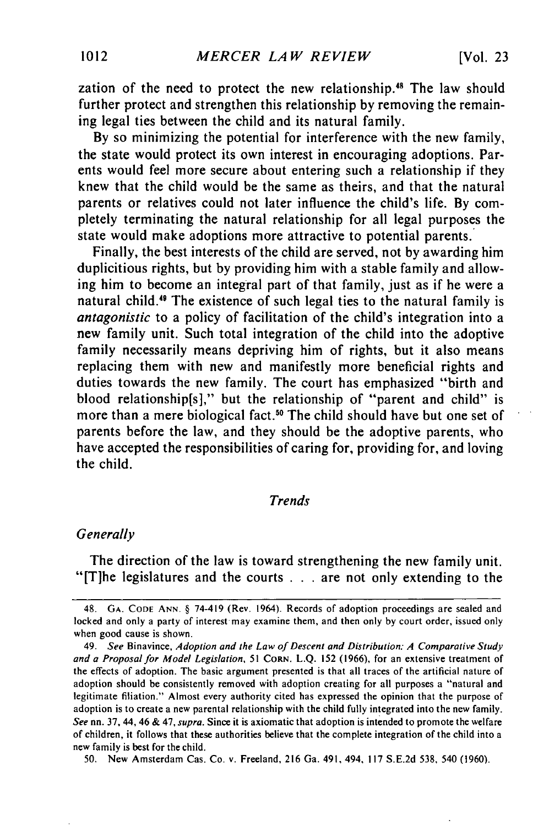zation of the need to protect the new relationship.<sup>48</sup> The law should further protect and strengthen this relationship by removing the remaining legal ties between the child and its natural family.

By so minimizing the potential for interference with the new family, the state would protect its own interest in encouraging adoptions. Parents would feel more secure about entering such a relationship if they knew that the child would be the same as theirs, and that the natural parents or relatives could not later influence the child's life. By completely terminating the natural relationship for all legal purposes the state would make adoptions more attractive to potential parents.

Finally, the best interests of the child are served, not by awarding him duplicitious rights, but by providing him with a stable family and allowing him to become an integral part of that family, just as if he were a natural child.<sup>49</sup> The existence of such legal ties to the natural family is *antagonistic* to a policy of facilitation of the child's integration into a new family unit. Such total integration of the child into the adoptive family necessarily means depriving him of rights, but it also means replacing them with new and manifestly more beneficial rights and duties towards the new family. The court has emphasized "birth and blood relationship[s]," but the relationship of "parent and child" is more than a mere biological fact.<sup>50</sup> The child should have but one set of parents before the law, and they should be the adoptive parents, who have accepted the responsibilities of caring for, providing for, and loving the child.

# *Trends*

### *Generally*

The direction of the law is toward strengthening the new family unit. "[T]he legislatures and the courts  $\ldots$  are not only extending to the

50. New Amsterdam Cas. Co. v. Freeland, **216** Ga. 491, 494, 117 S.E.2d 538, 540 (1960).

<sup>48.</sup> **GA. CODE** ANN. § 74-419 (Rev. 1964). Records of adoption proceedings are sealed and locked and only a party of interest may examine them, and then only by court order, issued only when good cause is shown.

<sup>49.</sup> *See* Binavince, *Adoption and the Law of Descent and Distribution: A Comparative Study and a Proposal for Model Legislation,* 51 CORN. L.Q. 152 (1966), for an extensive treatment of the effects of adoption. The basic argument presented is that all traces of the artificial nature of adoption should be consistently removed with adoption creating for all purposes a "natural and legitimate filiation." Almost every authority cited has expressed the opinion that the purpose of adoption is to create a new parental relationship with the child fully integrated into the new family. *See* nn. 37, 44, 46 & 47, *supra.* Since it is axiomatic that adoption is intended to promote the welfare of children, it follows that these authorities believe that the complete integration of the child into a new family is best for the child.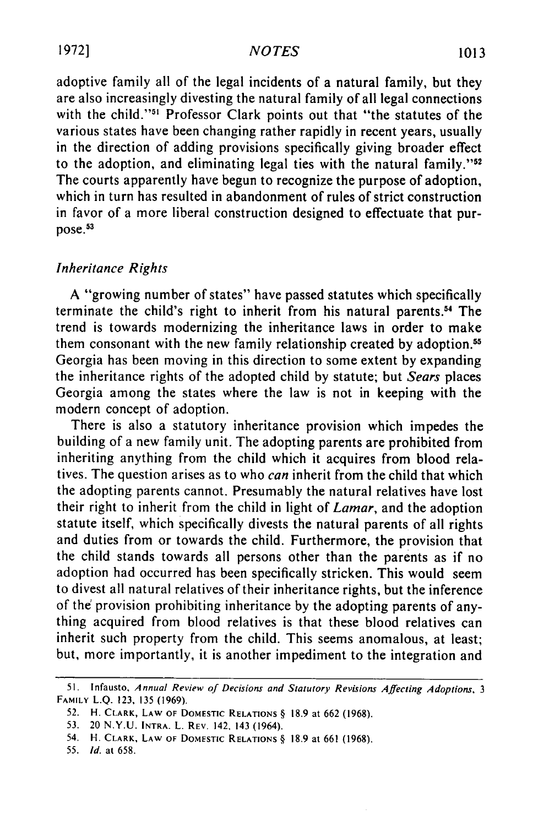adoptive family all of the legal incidents of a natural family, but they are also increasingly divesting the natural family of all legal connections with the child."<sup>51</sup> Professor Clark points out that "the statutes of the various states have been changing rather rapidly in recent years, usually in the direction of adding provisions specifically giving broader effect to the adoption, and eliminating legal ties with the natural family."<sup>52</sup> The courts apparently have begun to recognize the purpose of adoption, which in turn has resulted in abandonment of rules of strict construction in favor of a more liberal construction designed to effectuate that purpose.53

# *Inheritance Rights*

A "growing number of states" have passed statutes which specifically terminate the child's right to inherit from his natural parents.54 The trend is towards modernizing the inheritance laws in order to make them consonant with the new family relationship created by adoption. <sup>55</sup> Georgia has been moving in this direction to some extent by expanding the inheritance rights of the adopted child by statute; but *Sears* places Georgia among the states where the law is not in keeping with the modern concept of adoption.

There is also a statutory inheritance provision which impedes the building of a new family unit. The adopting parents are prohibited from inheriting anything from the child which it acquires from blood relatives. The question arises as to who *can* inherit from the child that which the adopting parents cannot. Presumably the natural relatives have lost their right to inherit from the child in light of *Lamar,* and the adoption statute itself, which specifically divests the natural parents of all rights and duties from or towards the child. Furthermore, the provision that the child stands towards all persons other than the parents as if no adoption had occurred has been specifically stricken. This would seem to divest all natural relatives of their inheritance rights, but the inference of the provision prohibiting inheritance by the adopting parents of anything acquired from blood relatives is that these blood relatives can inherit such property from the child. This seems anomalous, at least; but, more importantly, it is another impediment to the integration and

<sup>51.</sup> Infausto, Annual Review of Decisions and Statutory Revisions Affecting Adoptions, 3 FAMILY L.Q. **123, 135 (1969).**

<sup>52.</sup> H. CLARK, LAW **OF** DOMESTIC **RELATIONS** § 18.9 at 662 (1968).

<sup>53. 20</sup> N.Y.U. INTRA. L. REV. 142, 143 (1964).

<sup>54.</sup> H. CLARK, LAW OF DOMESTIC **RELATIONS** § 18.9 at 661 (1968).

<sup>55.</sup> *Id.* at 658.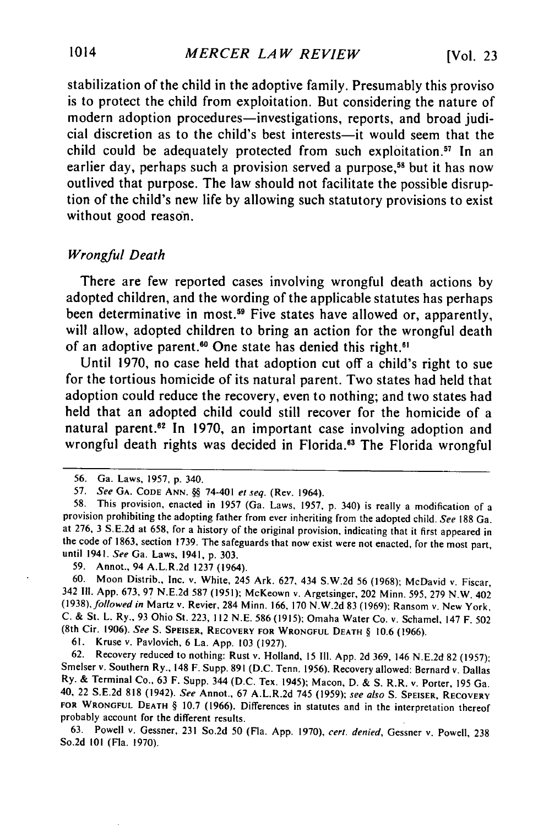stabilization of the child in the adoptive family. Presumably this proviso is to protect the child from exploitation. But considering the nature of modern adoption procedures—investigations, reports, and broad judicial discretion as to the child's best interests-it would seem that the child could be adequately protected from such exploitation.<sup>57</sup> In an earlier day, perhaps such a provision served a purpose,<sup>58</sup> but it has now outlived that purpose. The law should not facilitate the possible disruption of the child's new life by allowing such statutory provisions to exist without good reason.

### *Wrongful Death*

There are few reported cases involving wrongful death actions by adopted children, and the wording of the applicable statutes has perhaps been determinative in most.<sup>59</sup> Five states have allowed or, apparently, will allow, adopted children to bring an action for the wrongful death of an adoptive parent.<sup>60</sup> One state has denied this right.<sup>61</sup>

Until 1970, no case held that adoption cut off a child's right to sue for the tortious homicide of its natural parent. Two states had held that adoption could reduce the recovery, even to nothing; and two states had held that an adopted child could still recover for the homicide of a natural parent.<sup>62</sup> In 1970, an important case involving adoption and wrongful death rights was decided in Florida.<sup>63</sup> The Florida wrongful

59. Annot., 94 A.L.R.2d 1237 (1964).

60. Moon Distrib., Inc. v. White, 245 Ark. 627, 434 S.W.2d 56 (1968); McDavid v. Fiscar, <sup>342</sup>II1. App. 673, 97 N.E.2d 587 (1951); McKeown v. Argetsinger, 202 Minn. 595, 279 N.W. 402 (1938), followed in Martz v. Revier, 284 Minn. 166, 170 N.W.2d 83 (1969); Ransom v. New York, C. & St. L. Ry., 93 Ohio St. 223, 112 N.E. 586 (1915); Omaha Water Co. v. Schamel, 147 F. 502 (8th Cir. 1906). See S. SPEISER, RECOVERY **FOR** WRONGFUL **DEATH** § 10.6 (1966).

**61.** Kruse v. Pavlovich, 6 La. App. **103** (1927).

62. Recovery reduced to nothing: Rust v. Holland, **15 Ill.** App. 2d 369, 146 N.E.2d 82 (1957): Smelser v. Southern Ry., 148 F. Supp. **891** (D.C. Tenn. 1956). Recovery allowed: Bernard v. Dallas Ry. & Terminal Co., **63** F. Supp. 344 (D.C. Tex. 1945); Macon, **D.** & S. R.R. v. Porter, **195** Ga. 40, 22 S.E.2d **818** (1942). See Annot., 67 A.L.R.2d 745 (1959); see also S. **SPEISER, RECOVERY FOR WRONGFUL DEATH** § **10.7** (1966). Differences in statutes and in the interpretation thereof probably account for the different results.

63. Powell v. Gessner, **231** So.2d 50 (Fla. App. 1970), cert. denied, Gessner v. Powell, 238 So.2d **101** (Fla. 1970).

<sup>56.</sup> Ga. Laws, 1957, p. 340.

<sup>57.</sup> See **GA. CODE ANN. §§** 74-401 et seq. (Rev. 1964).

<sup>58.</sup> This provision, enacted in 1957 (Ga. Laws, 1957, p. 340) is really a modification of a provision prohibiting the adopting father from ever inheriting from the adopted child. See 188 Ga. at 276, 3 S.E.2d at 658, for a history of the original provision, indicating that it first appeared in the code of 1863, section 1739. The safeguards that now exist were not enacted, for the most part, until 1941. See Ga. Laws, 1941, p. 303.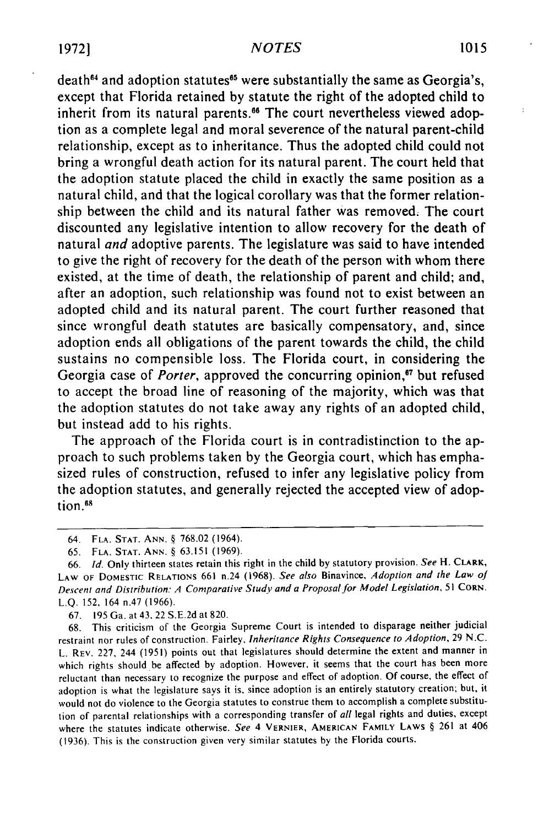death<sup>64</sup> and adoption statutes<sup>65</sup> were substantially the same as Georgia's, except that Florida retained by statute the right of the adopted child to inherit from its natural parents.<sup>66</sup> The court nevertheless viewed adoption as a complete legal and moral severence of the natural parent-child relationship, except as to inheritance. Thus the adopted child could not bring a wrongful death action for its natural parent. The court held that the adoption statute placed the child in exactly the same position as a natural child, and that the logical corollary was that the former relationship between the child and its natural father was removed. The court discounted any legislative intention to allow recovery for the death of natural *and* adoptive parents. The legislature was said to have intended to give the right of recovery for the death of the person with whom there existed, at the time of death, the relationship of parent and child; and, after an adoption, such relationship was found not to exist between an adopted child and its natural parent. The court further reasoned that since wrongful death statutes are basically compensatory, and, since adoption ends all obligations of the parent towards the child, the child sustains no compensible loss. The Florida court, in considering the Georgia case of *Porter*, approved the concurring opinion,<sup>67</sup> but refused to accept the broad line of reasoning of the majority, which was that the adoption statutes do not take away any rights of an adopted child, but instead add to his rights.

The approach of the Florida court is in contradistinction to the approach to such problems taken by the Georgia court, which has emphasized rules of construction, refused to infer any legislative policy from the adoption statutes, and generally rejected the accepted view of adoption.<sup>68</sup>

67. 195 Ga. at 43. 22 S.E.2d at 820.

68. This criticism of the Georgia Supreme Court is intended to disparage neither judicial restraint nor rules of construction. Fairley, *Inheritance Rights Consequence to Adoption,* 29 N.C. L. REV. 227, 244 (1951) points out that legislatures should determine the extent and manner in which rights should be affected by adoption. However, it seems that the court has been more reluctant than necessary to recognize the purpose and effect of adoption. Of course, the effect of adoption is what the legislature says it is, since adoption is an entirely statutory creation; but, it would not do violence to the Georgia statutes to construe them to accomplish a complete substitution of parental relationships with a corresponding transfer of *all* legal rights and duties, except where the statutes indicate otherwise. *See* 4 VERNIER, **AMERICAN** FAMILY LAWS § **261** at 406 (1936). This is the construction given very similar statutes **by** the Florida courts.

<sup>64.</sup> **FLA. STAT. ANN.** § 768.02 (1964).

<sup>65.</sup> **FLA. STAT. ANN.** § 63.151 **(1969).**

<sup>66.</sup> *Id.* Only thirteen states retain this right in the child by statutory provision. *See* H. CLARK, LAW OF DOMESTIC RELATIONS 661 n.24 (1968). See also Binavince, Adoption and the Law of *Descent and* Distribution: A Comparative Study and a Proposal *for* Model Legislation, 51 CORN. L.Q. 152, 164 n.47 (1966).